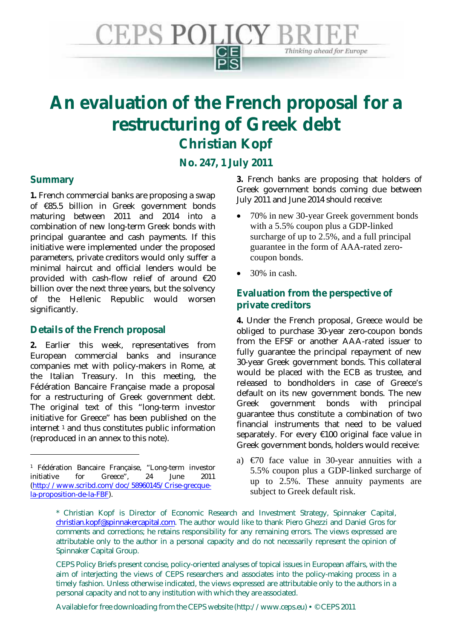

# **An evaluation of the French proposal for a restructuring of Greek debt Christian Kopf**

**No. 247, 1 July 2011** 

## **Summary**

<u>.</u>

**1.** French commercial banks are proposing a swap of €85.5 billion in Greek government bonds maturing between 2011 and 2014 into a combination of new long-term Greek bonds with principal guarantee and cash payments. If this initiative were implemented under the proposed parameters, private creditors would only suffer a minimal haircut and official lenders would be provided with cash-flow relief of around €20 billion over the next three years, but the solvency of the Hellenic Republic would worsen significantly.

# **Details of the French proposal**

**2.** Earlier this week, representatives from European commercial banks and insurance companies met with policy-makers in Rome, at the Italian Treasury. In this meeting, the Fédération Bancaire Française made a proposal for a restructuring of Greek government debt. The original text of this "long-term investor initiative for Greece" has been published on the internet  $1$  and thus constitutes public information (reproduced in an annex to this note).

**3.** French banks are proposing that holders of Greek government bonds coming due between July 2011 and June 2014 should receive:

- 70% in new 30-year Greek government bonds with a 5.5% coupon plus a GDP-linked surcharge of up to 2.5%, and a full principal guarantee in the form of AAA-rated zerocoupon bonds.
- $\bullet$  30% in cash.

# **Evaluation from the perspective of private creditors**

**4.** Under the French proposal, Greece would be obliged to purchase 30-year zero-coupon bonds from the EFSF or another AAA-rated issuer to fully guarantee the principal repayment of new 30-year Greek government bonds. This collateral would be placed with the ECB as trustee, and released to bondholders in case of Greece's default on its new government bonds. The new Greek government bonds with principal guarantee thus constitute a combination of two financial instruments that need to be valued separately. For every €100 original face value in Greek government bonds, holders would receive:

a)  $\epsilon$  670 face value in 30-year annuities with a 5.5% coupon plus a GDP-linked surcharge of up to 2.5%. These annuity payments are subject to Greek default risk.

Available for free downloading from the CEPS website (http://www.ceps.eu) • © CEPS 2011

<sup>&</sup>lt;sup>1</sup> Fédération Bancaire Française, "Long-term investor initiative for Greece", 24 June 2011 (http://www.scribd.com/doc/58960145/Crise-grecquela-proposition-de-la-FBF).

<sup>\*</sup> Christian Kopf is Director of Economic Research and Investment Strategy, Spinnaker Capital, christian.kopf@spinnakercapital.com. The author would like to thank Piero Ghezzi and Daniel Gros for comments and corrections; he retains responsibility for any remaining errors. The views expressed are attributable only to the author in a personal capacity and do not necessarily represent the opinion of Spinnaker Capital Group.

CEPS Policy Briefs present concise, policy-oriented analyses of topical issues in European affairs, with the aim of interjecting the views of CEPS researchers and associates into the policy-making process in a timely fashion. Unless otherwise indicated, the views expressed are attributable only to the authors in a personal capacity and not to any institution with which they are associated.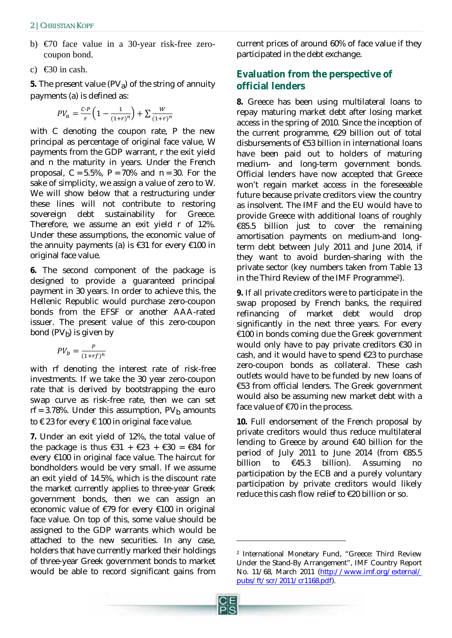- b) €70 face value in a 30-year risk-free zerocoupon bond.
- c)  $\bigoplus$  0 in cash.

**5.** The present value  $(PV_a)$  of the string of annuity payments (a) is defined as:

$$
PV_a = \frac{c \cdot P}{r} \left( 1 - \frac{1}{(1+r)^n} \right) + \sum \frac{W}{(1+r)^n}
$$

with *C* denoting the coupon rate, *P* the new principal as percentage of original face value, *W* payments from the GDP warrant, *r* the exit yield and *n* the maturity in years. Under the French proposal,  $C = 5.5\%$ ,  $P = 70\%$  and  $n = 30$ . For the sake of simplicity, we assign a value of zero to *W*. We will show below that a restructuring under these lines will not contribute to restoring sovereign debt sustainability for Greece. Therefore, we assume an exit yield *r* of 12%. Under these assumptions, the economic value of the annuity payments (a) is  $\epsilon$ 31 for every  $\epsilon$ 100 in original face value.

**6.** The second component of the package is designed to provide a guaranteed principal payment in 30 years. In order to achieve this, the Hellenic Republic would purchase zero-coupon bonds from the EFSF or another AAA-rated issuer. The present value of this zero-coupon bond  $(PV_b)$  is given by

$$
PV_b = \frac{P}{(1 + rf)^n}
$$

with *rf* denoting the interest rate of risk-free investments. If we take the 30 year zero-coupon rate that is derived by bootstrapping the euro swap curve as risk-free rate, then we can set  $rf = 3.78\%$ . Under this assumption,  $PV<sub>b</sub>$  amounts to  $\epsilon$  23 for every  $\epsilon$  100 in original face value.

**7.** Under an exit yield of 12%, the total value of the package is thus  $\epsilon$ 31 +  $\epsilon$ 23 +  $\epsilon$ 30 =  $\epsilon$ 84 for every €100 in original face value. The haircut for bondholders would be very small. If we assume an exit yield of 14.5%, which is the discount rate the market currently applies to three-year Greek government bonds, then we can assign an economic value of €79 for every €100 in original face value. On top of this, some value should be assigned to the GDP warrants which would be attached to the new securities. In any case, holders that have currently marked their holdings of three-year Greek government bonds to market would be able to record significant gains from current prices of around 60% of face value if they participated in the debt exchange.

# **Evaluation from the perspective of official lenders**

**8.** Greece has been using multilateral loans to repay maturing market debt after losing market access in the spring of 2010. Since the inception of the current programme, €29 billion out of total disbursements of €53 billion in international loans have been paid out to holders of maturing medium- and long-term government bonds. Official lenders have now accepted that Greece won't regain market access in the foreseeable future because private creditors view the country as insolvent. The IMF and the EU would have to provide Greece with additional loans of roughly €85.5 billion just to cover the remaining amortisation payments on medium-and longterm debt between July 2011 and June 2014, if they want to avoid burden-sharing with the private sector (key numbers taken from Table 13 in the Third Review of the IMF Programme2).

**9.** If all private creditors were to participate in the swap proposed by French banks, the required refinancing of market debt would drop significantly in the next three years. For every €100 in bonds coming due the Greek government would only have to pay private creditors €30 in cash, and it would have to spend €23 to purchase zero-coupon bonds as collateral. These cash outlets would have to be funded by new loans of €53 from official lenders. The Greek government would also be assuming new market debt with a face value of  $\epsilon$ 70 in the process.

**10.** Full endorsement of the French proposal by private creditors would thus reduce multilateral lending to Greece by around €40 billion for the period of July 2011 to June 2014 (from €85.5 billion to €45.3 billion). Assuming no participation by the ECB and a purely voluntary participation by private creditors would likely reduce this cash flow relief to €20 billion or so.

<u>.</u>

<sup>2</sup> International Monetary Fund, "Greece: Third Review Under the Stand-By Arrangement", IMF Country Report No. 11/68, March 2011 (http://www.imf.org/external/ pubs/ft/scr/2011/cr1168.pdf).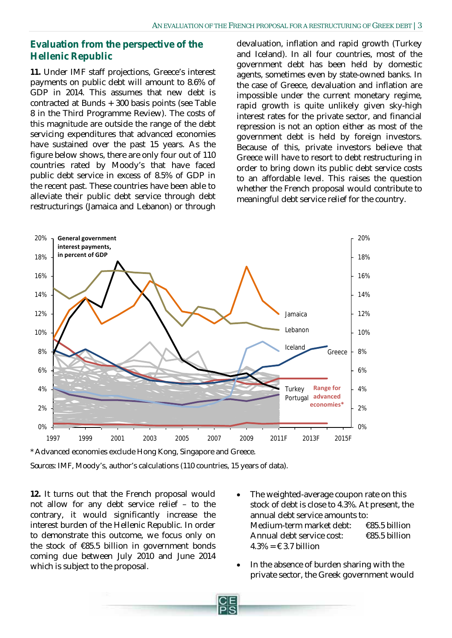## **Evaluation from the perspective of the Hellenic Republic**

**11.** Under IMF staff projections, Greece's interest payments on public debt will amount to 8.6% of GDP in 2014. This assumes that new debt is contracted at Bunds + 300 basis points (see Table 8 in the Third Programme Review). The costs of this magnitude are outside the range of the debt servicing expenditures that advanced economies have sustained over the past 15 years. As the figure below shows, there are only four out of 110 countries rated by Moody's that have faced public debt service in excess of 8.5% of GDP in the recent past. These countries have been able to alleviate their public debt service through debt restructurings (Jamaica and Lebanon) or through devaluation, inflation and rapid growth (Turkey and Iceland). In all four countries, most of the government debt has been held by domestic agents, sometimes even by state-owned banks. In the case of Greece, devaluation and inflation are impossible under the current monetary regime, rapid growth is quite unlikely given sky-high interest rates for the private sector, and financial repression is not an option either as most of the government debt is held by foreign investors. Because of this, private investors believe that Greece will have to resort to debt restructuring in order to bring down its public debt service costs to an affordable level. This raises the question whether the French proposal would contribute to meaningful debt service relief for the country.



\* Advanced economies exclude Hong Kong, Singapore and Greece.

*Sources*: IMF, Moody's, author's calculations (110 countries, 15 years of data).

**12.** It turns out that the French proposal would not allow for any debt service relief – to the contrary, it would significantly increase the interest burden of the Hellenic Republic. In order to demonstrate this outcome, we focus only on the stock of  $\epsilon$ 85.5 billion in government bonds coming due between July 2010 and June 2014 which is subject to the proposal.

- The weighted-average coupon rate on this stock of debt is close to 4.3%. At present, the annual debt service amounts to: Medium-term market debt: €85.5 billion Annual debt service cost: €85.5 billion  $4.3\% = \text{\textsterling}3.7$  billion
- In the absence of burden sharing with the private sector, the Greek government would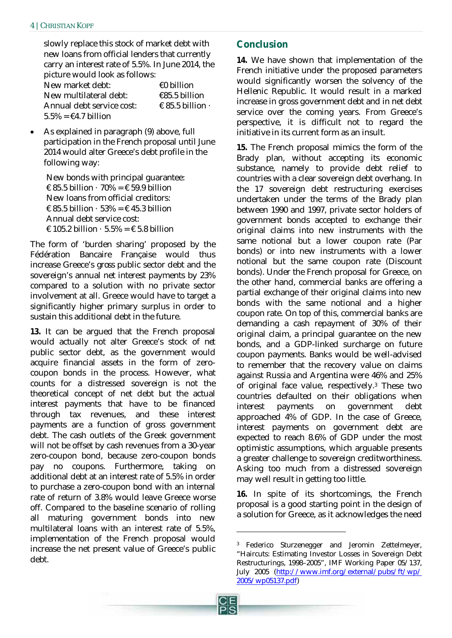#### 4 | CHRISTIAN KOPF

slowly replace this stock of market debt with new loans from official lenders that currently carry an interest rate of 5.5%. In June 2014, the picture would look as follows:

| New market debt:                          | €0 billion                      |
|-------------------------------------------|---------------------------------|
| New multilateral debt:                    | €85.5 billion                   |
| Annual debt service cost:                 | $\epsilon$ 85.5 billion $\cdot$ |
| $5.5\% = \text{\textsterling}4.7$ billion |                                 |

• As explained in paragraph (9) above, full participation in the French proposal until June 2014 would alter Greece's debt profile in the following way:

New bonds with principal guarantee:  $\epsilon$  85.5 billion  $\cdot$  70% =  $\epsilon$  59.9 billion New loans from official creditors:  $\epsilon$  85.5 billion  $\cdot$  53% =  $\epsilon$  45.3 billion Annual debt service cost:  $\text{\textsterling} 105.2$  billion  $\cdot$  5.5% =  $\text{\textsterling} 5.8$  billion

The form of 'burden sharing' proposed by the Fédération Bancaire Française would thus increase Greece's *gross* public sector debt and the sovereign's annual net interest payments by 23% compared to a solution with no private sector involvement at all. Greece would have to target a significantly higher primary surplus in order to sustain this additional debt in the future.

**13.** It can be argued that the French proposal would actually not alter Greece's stock of *net* public sector debt, as the government would acquire financial assets in the form of zerocoupon bonds in the process. However, what counts for a distressed sovereign is not the theoretical concept of net debt but the actual interest payments that have to be financed through tax revenues, and these interest payments are a function of gross government debt. The cash outlets of the Greek government will not be offset by cash revenues from a 30-year zero-coupon bond, because zero-coupon bonds pay no coupons. Furthermore, taking on additional debt at an interest rate of 5.5% in order to purchase a zero-coupon bond with an internal rate of return of 3.8% would leave Greece worse off. Compared to the baseline scenario of rolling all maturing government bonds into new multilateral loans with an interest rate of 5.5%, implementation of the French proposal would increase the net present value of Greece's public debt.

# **Conclusion**

**14.** We have shown that implementation of the French initiative under the proposed parameters would significantly worsen the solvency of the Hellenic Republic. It would result in a marked increase in gross government debt and in net debt service over the coming years. From Greece's perspective, it is difficult not to regard the initiative in its current form as an insult.

**15.** The French proposal mimics the form of the Brady plan, without accepting its economic substance, namely to provide debt relief to countries with a clear sovereign debt overhang. In the 17 sovereign debt restructuring exercises undertaken under the terms of the Brady plan between 1990 and 1997, private sector holders of government bonds accepted to exchange their original claims into new instruments with the same notional but a lower coupon rate (Par bonds) or into new instruments with a lower notional but the same coupon rate (Discount bonds). Under the French proposal for Greece, on the other hand, commercial banks are offering a partial exchange of their original claims into new bonds with the same notional and a higher coupon rate. On top of this, commercial banks are demanding a cash repayment of 30% of their original claim, a principal guarantee on the new bonds, and a GDP-linked surcharge on future coupon payments. Banks would be well-advised to remember that the recovery value on claims against Russia and Argentina were 46% and 25% of original face value, respectively.3 These two countries defaulted on their obligations when interest payments on government debt approached 4% of GDP. In the case of Greece, interest payments on government debt are expected to reach 8.6% of GDP under the most optimistic assumptions, which arguable presents a greater challenge to sovereign creditworthiness. Asking too much from a distressed sovereign may well result in getting too little.

**16.** In spite of its shortcomings, the French proposal is a good starting point in the design of a solution for Greece, as it acknowledges the need

-

<sup>3</sup> Federico Sturzenegger and Jeromin Zettelmeyer, "Haircuts: Estimating Investor Losses in Sovereign Debt Restructurings, 1998–2005", IMF Working Paper 05/137, July 2005 (http://www.imf.org/external/pubs/ft/wp/ 2005/wp05137.pdf)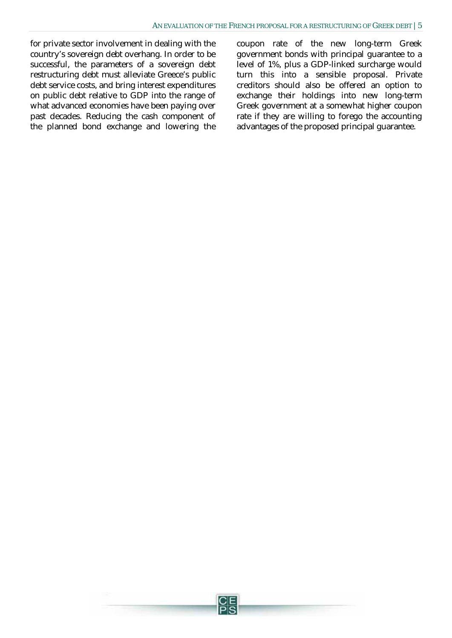for private sector involvement in dealing with the country's sovereign debt overhang. In order to be successful, the parameters of a sovereign debt restructuring debt must alleviate Greece's public debt service costs, and bring interest expenditures on public debt relative to GDP into the range of what advanced economies have been paying over past decades. Reducing the cash component of the planned bond exchange and lowering the coupon rate of the new long-term Greek government bonds with principal guarantee to a level of 1%, plus a GDP-linked surcharge would turn this into a sensible proposal. Private creditors should also be offered an option to exchange their holdings into new long-term Greek government at a somewhat higher coupon rate if they are willing to forego the accounting advantages of the proposed principal guarantee.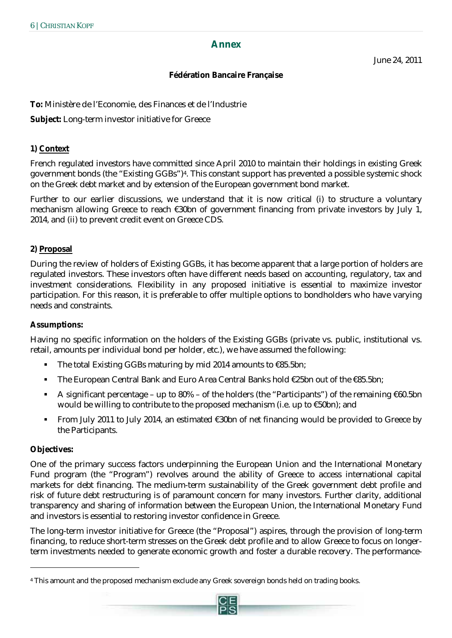#### **Annex**

June 24, 2011

#### **Fédération Bancaire Française**

**To:** Ministère de l'Economie, des Finances et de l'Industrie

**Subject:** Long-term investor initiative for Greece

#### **1) Context**

French regulated investors have committed since April 2010 to maintain their holdings in existing Greek government bonds (the "Existing GGBs")4. This constant support has prevented a possible systemic shock on the Greek debt market and by extension of the European government bond market.

Further to our earlier discussions, we understand that it is now critical (i) to structure a voluntary mechanism allowing Greece to reach €30bn of government financing from private investors by July 1, 2014, and (ii) to prevent credit event on Greece CDS.

#### **2) Proposal**

During the review of holders of Existing GGBs, it has become apparent that a large portion of holders are regulated investors. These investors often have different needs based on accounting, regulatory, tax and investment considerations. Flexibility in any proposed initiative is essential to maximize investor participation. For this reason, it is preferable to offer multiple options to bondholders who have varying needs and constraints.

#### **Assumptions:**

Having no specific information on the holders of the Existing GGBs (private vs. public, institutional vs. retail, amounts per individual bond per holder, etc.), we have assumed the following:

- The total Existing GGBs maturing by mid 2014 amounts to  $\epsilon$ 85.5bn;
- The European Central Bank and Euro Area Central Banks hold €25bn out of the €85.5bn;
- A significant percentage up to  $80\%$  of the holders (the "Participants") of the remaining  $€60.5bn$ would be willing to contribute to the proposed mechanism (i.e. up to €50bn); and
- From July 2011 to July 2014, an estimated  $\epsilon$ 30bn of net financing would be provided to Greece by the Participants.

#### **Objectives:**

-

One of the primary success factors underpinning the European Union and the International Monetary Fund program (the "Program") revolves around the ability of Greece to access international capital markets for debt financing. The medium-term sustainability of the Greek government debt profile and risk of future debt restructuring is of paramount concern for many investors. Further clarity, additional transparency and sharing of information between the European Union, the International Monetary Fund and investors is essential to restoring investor confidence in Greece.

The long-term investor initiative for Greece (the "Proposal") aspires, through the provision of long-term financing, to reduce short-term stresses on the Greek debt profile and to allow Greece to focus on longerterm investments needed to generate economic growth and foster a durable recovery. The performance-

<sup>4</sup> This amount and the proposed mechanism exclude any Greek sovereign bonds held on trading books.

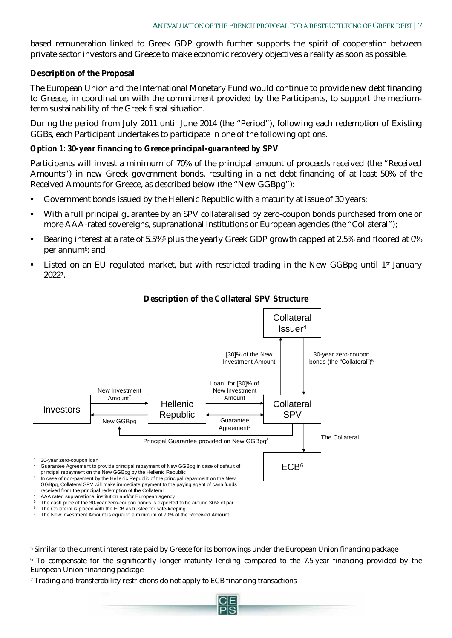based remuneration linked to Greek GDP growth further supports the spirit of cooperation between private sector investors and Greece to make economic recovery objectives a reality as soon as possible.

## **Description of the Proposal**

The European Union and the International Monetary Fund would continue to provide new debt financing to Greece, in coordination with the commitment provided by the Participants, to support the mediumterm sustainability of the Greek fiscal situation.

During the period from July 2011 until June 2014 (the "Period"), following each redemption of Existing GGBs, each Participant undertakes to participate in one of the following options.

## *Option 1: 30-year financing to Greece principal-guaranteed by SPV*

Participants will invest a minimum of 70% of the principal amount of proceeds received (the "Received Amounts") in new Greek government bonds, resulting in a net debt financing of at least 50% of the Received Amounts for Greece, as described below (the "New GGBpg"):

- Government bonds issued by the Hellenic Republic with a maturity at issue of 30 years;
- With a full principal guarantee by an SPV collateralised by zero-coupon bonds purchased from one or more AAA-rated sovereigns, supranational institutions or European agencies (the "Collateral");
- Bearing interest at a rate of 5.5%<sup>5</sup> plus the yearly Greek GDP growth capped at 2.5% and floored at 0% per annum<sup>6</sup>; and
- Listed on an EU regulated market, but with restricted trading in the New GGBpg until  $1<sup>st</sup>$  January 20227.



## **Description of the Collateral SPV Structure**

The cash price of the 30-year zero-coupon bonds is expected to be around 30% of par

<u>.</u>

<sup>7</sup> Trading and transferability restrictions do not apply to ECB financing transactions



 $^6$  The Collateral is placed with the ECB as trustee for safe-keeping<br><sup>7</sup> The New Investment Amount is equal to a minimum of 70% of the Received Amount

<sup>5</sup> Similar to the current interest rate paid by Greece for its borrowings under the European Union financing package

<sup>6</sup> To compensate for the significantly longer maturity lending compared to the 7.5-year financing provided by the European Union financing package